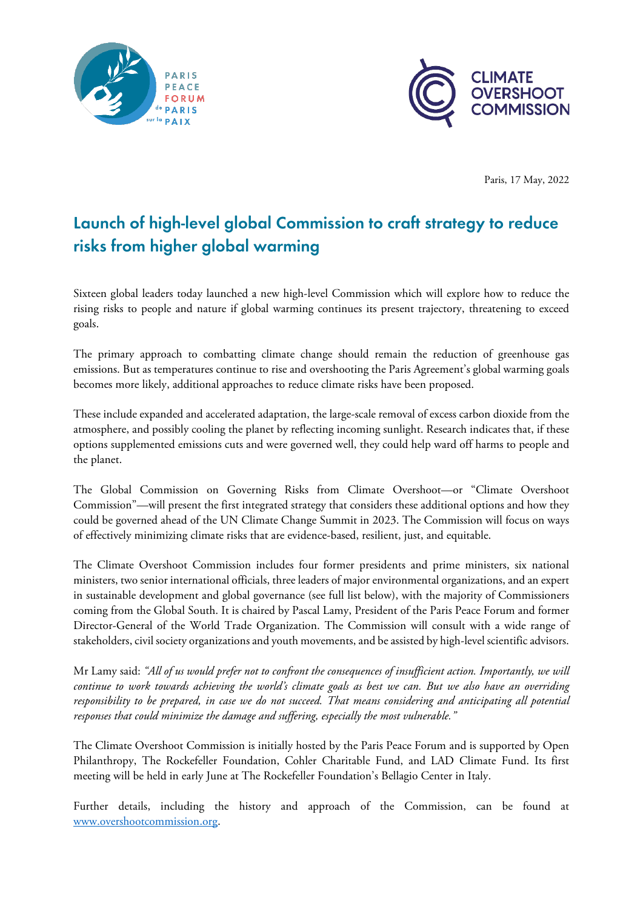



Paris, 17 May, 2022

# Launch of high-level global Commission to craft strategy to reduce risks from higher global warming

Sixteen global leaders today launched a new high-level Commission which will explore how to reduce the rising risks to people and nature if global warming continues its present trajectory, threatening to exceed goals.

The primary approach to combatting climate change should remain the reduction of greenhouse gas emissions. But as temperatures continue to rise and overshooting the Paris Agreement's global warming goals becomes more likely, additional approaches to reduce climate risks have been proposed.

These include expanded and accelerated adaptation, the large-scale removal of excess carbon dioxide from the atmosphere, and possibly cooling the planet by reflecting incoming sunlight. Research indicates that, if these options supplemented emissions cuts and were governed well, they could help ward off harms to people and the planet.

The Global Commission on Governing Risks from Climate Overshoot—or "Climate Overshoot Commission"—will present the first integrated strategy that considers these additional options and how they could be governed ahead of the UN Climate Change Summit in 2023. The Commission will focus on ways of effectively minimizing climate risks that are evidence-based, resilient, just, and equitable.

The Climate Overshoot Commission includes four former presidents and prime ministers, six national ministers, two senior international officials, three leaders of major environmental organizations, and an expert in sustainable development and global governance (see full list below), with the majority of Commissioners coming from the Global South. It is chaired by Pascal Lamy, President of the Paris Peace Forum and former Director-General of the World Trade Organization. The Commission will consult with a wide range of stakeholders, civil society organizations and youth movements, and be assisted by high-level scientific advisors.

Mr Lamy said: *"All of us would prefer not to confront the consequences of insufficient action. Importantly, we will continue to work towards achieving the world's climate goals as best we can. But we also have an overriding responsibility to be prepared, in case we do not succeed. That means considering and anticipating all potential responses that could minimize the damage and suffering, especially the most vulnerable."*

The Climate Overshoot Commission is initially hosted by the Paris Peace Forum and is supported by Open Philanthropy, The Rockefeller Foundation, Cohler Charitable Fund, and LAD Climate Fund. Its first meeting will be held in early June at The Rockefeller Foundation's Bellagio Center in Italy.

Further details, including the history and approach of the Commission, can be found at [www.overshootcommission.org.](www.overshootcommission.org)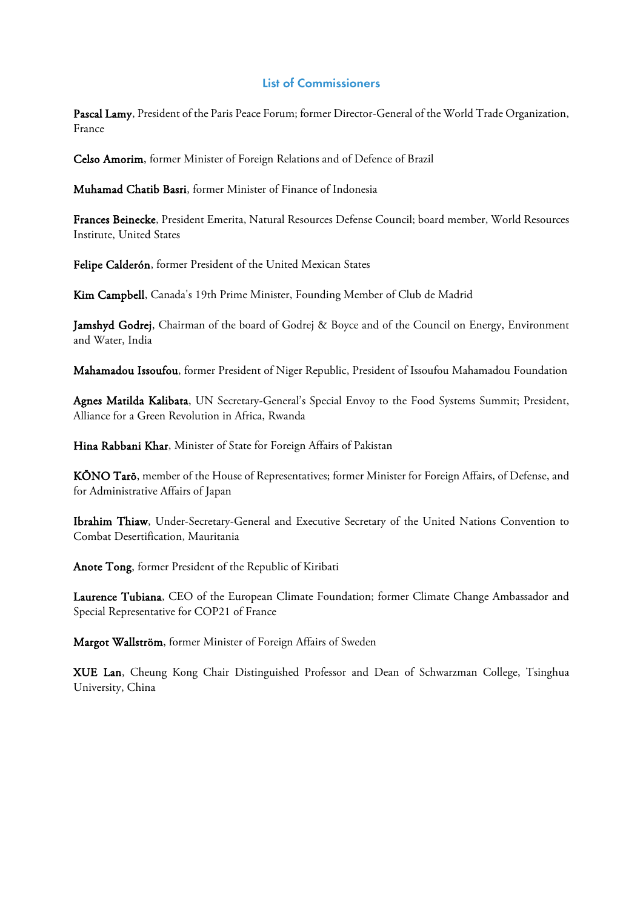## List of Commissioners

Pascal Lamy, President of the Paris Peace Forum; former Director-General of the World Trade Organization, France

Celso Amorim, former Minister of Foreign Relations and of Defence of Brazil

Muhamad Chatib Basri, former Minister of Finance of Indonesia

Frances Beinecke, President Emerita, Natural Resources Defense Council; board member, World Resources Institute, United States

Felipe Calderón, former President of the United Mexican States

Kim Campbell, Canada's 19th Prime Minister, Founding Member of Club de Madrid

Jamshyd Godrej, Chairman of the board of Godrej & Boyce and of the Council on Energy, Environment and Water, India

Mahamadou Issoufou, former President of Niger Republic, President of Issoufou Mahamadou Foundation

Agnes Matilda Kalibata, UN Secretary-General's Special Envoy to the Food Systems Summit; President, Alliance for a Green Revolution in Africa, Rwanda

Hina Rabbani Khar, Minister of State for Foreign Affairs of Pakistan

KŌNO Tarō, member of the House of Representatives; former Minister for Foreign Affairs, of Defense, and for Administrative Affairs of Japan

Ibrahim Thiaw, Under-Secretary-General and Executive Secretary of the United Nations Convention to Combat Desertification, Mauritania

Anote Tong, former President of the Republic of Kiribati

Laurence Tubiana, CEO of the European Climate Foundation; former Climate Change Ambassador and Special Representative for COP21 of France

Margot Wallström, former Minister of Foreign Affairs of Sweden

XUE Lan, Cheung Kong Chair Distinguished Professor and Dean of Schwarzman College, Tsinghua University, China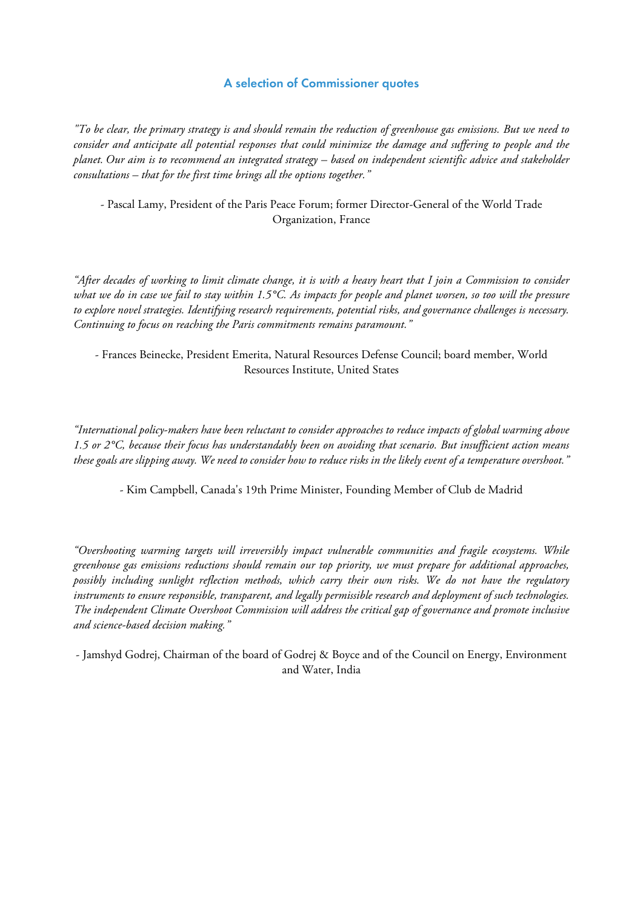#### A selection of Commissioner quotes

*"To be clear, the primary strategy is and should remain the reduction of greenhouse gas emissions. But we need to consider and anticipate all potential responses that could minimize the damage and suffering to people and the planet. Our aim is to recommend an integrated strategy – based on independent scientific advice and stakeholder consultations – that for the first time brings all the options together."*

- Pascal Lamy, President of the Paris Peace Forum; former Director-General of the World Trade Organization, France

*"After decades of working to limit climate change, it is with a heavy heart that I join a Commission to consider what we do in case we fail to stay within 1.5°C. As impacts for people and planet worsen, so too will the pressure to explore novel strategies. Identifying research requirements, potential risks, and governance challenges is necessary. Continuing to focus on reaching the Paris commitments remains paramount."*

- Frances Beinecke, President Emerita, Natural Resources Defense Council; board member, World Resources Institute, United States

*"International policy-makers have been reluctant to consider approaches to reduce impacts of global warming above 1.5 or 2°C, because their focus has understandably been on avoiding that scenario. But insufficient action means these goals are slipping away. We need to consider how to reduce risks in the likely event of a temperature overshoot."*

- Kim Campbell, Canada's 19th Prime Minister, Founding Member of Club de Madrid

*"Overshooting warming targets will irreversibly impact vulnerable communities and fragile ecosystems. While greenhouse gas emissions reductions should remain our top priority, we must prepare for additional approaches, possibly including sunlight reflection methods, which carry their own risks. We do not have the regulatory instruments to ensure responsible, transparent, and legally permissible research and deployment of such technologies. The independent Climate Overshoot Commission will address the critical gap of governance and promote inclusive and science-based decision making."*

- Jamshyd Godrej, Chairman of the board of Godrej & Boyce and of the Council on Energy, Environment and Water, India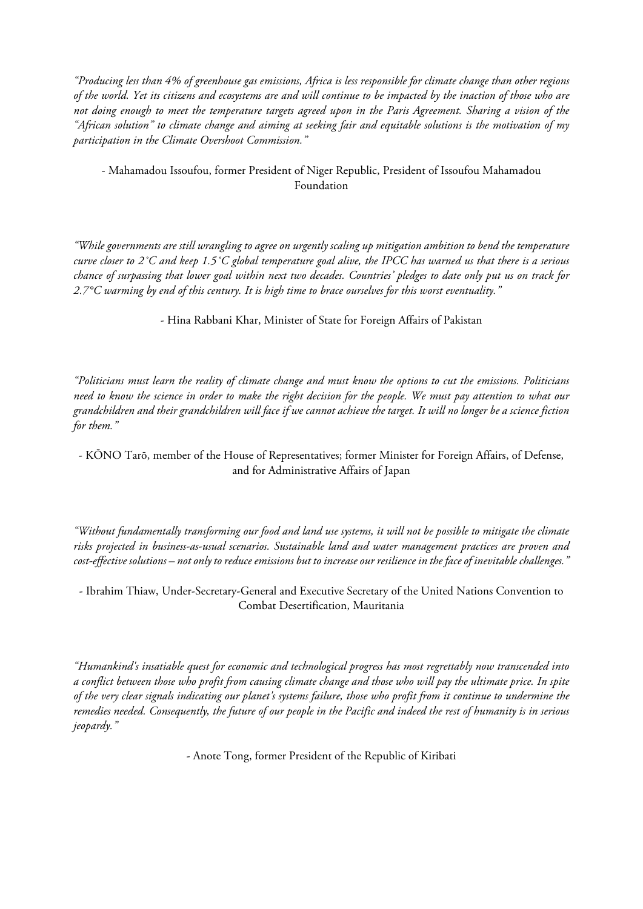*"Producing less than 4% of greenhouse gas emissions, Africa is less responsible for climate change than other regions of the world. Yet its citizens and ecosystems are and will continue to be impacted by the inaction of those who are not doing enough to meet the temperature targets agreed upon in the Paris Agreement. Sharing a vision of the "African solution" to climate change and aiming at seeking fair and equitable solutions is the motivation of my participation in the Climate Overshoot Commission."*

## - Mahamadou Issoufou, former President of Niger Republic, President of Issoufou Mahamadou Foundation

*"While governments are still wrangling to agree on urgently scaling up mitigation ambition to bend the temperature curve closer to 2˚C and keep 1.5˚C global temperature goal alive, the IPCC has warned us that there is a serious chance of surpassing that lower goal within next two decades. Countries' pledges to date only put us on track for 2.7°C warming by end of this century. It is high time to brace ourselves for this worst eventuality."*

- Hina Rabbani Khar, Minister of State for Foreign Affairs of Pakistan

*"Politicians must learn the reality of climate change and must know the options to cut the emissions. Politicians need to know the science in order to make the right decision for the people. We must pay attention to what our grandchildren and their grandchildren will face if we cannot achieve the target. It will no longer be a science fiction for them."*

- KŌNO Tarō, member of the House of Representatives; former Minister for Foreign Affairs, of Defense, and for Administrative Affairs of Japan

*"Without fundamentally transforming our food and land use systems, it will not be possible to mitigate the climate risks projected in business-as-usual scenarios. Sustainable land and water management practices are proven and cost-effective solutions – not only to reduce emissions but to increase our resilience in the face of inevitable challenges."*

- Ibrahim Thiaw, Under-Secretary-General and Executive Secretary of the United Nations Convention to Combat Desertification, Mauritania

*"Humankind's insatiable quest for economic and technological progress has most regrettably now transcended into a conflict between those who profit from causing climate change and those who will pay the ultimate price. In spite of the very clear signals indicating our planet's systems failure, those who profit from it continue to undermine the remedies needed. Consequently, the future of our people in the Pacific and indeed the rest of humanity is in serious jeopardy."*

- Anote Tong, former President of the Republic of Kiribati